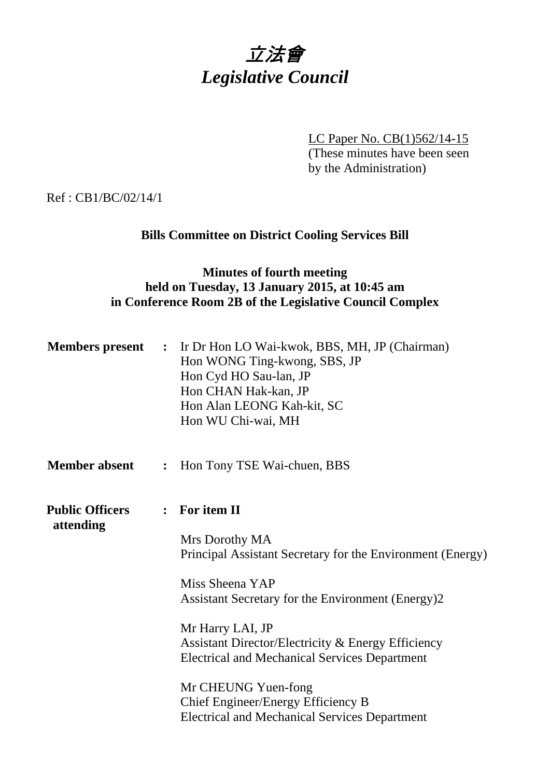

LC Paper No. CB(1)562/14-15 (These minutes have been seen by the Administration)

Ref : CB1/BC/02/14/1

## **Bills Committee on District Cooling Services Bill**

### **Minutes of fourth meeting held on Tuesday, 13 January 2015, at 10:45 am in Conference Room 2B of the Legislative Council Complex**

| <b>Members</b> present              | $\ddot{\cdot}$ | Ir Dr Hon LO Wai-kwok, BBS, MH, JP (Chairman)<br>Hon WONG Ting-kwong, SBS, JP<br>Hon Cyd HO Sau-lan, JP<br>Hon CHAN Hak-kan, JP<br>Hon Alan LEONG Kah-kit, SC<br>Hon WU Chi-wai, MH |
|-------------------------------------|----------------|-------------------------------------------------------------------------------------------------------------------------------------------------------------------------------------|
| <b>Member absent</b>                | $\ddot{\cdot}$ | Hon Tony TSE Wai-chuen, BBS                                                                                                                                                         |
| <b>Public Officers</b><br>attending |                | : For item II                                                                                                                                                                       |
|                                     |                | Mrs Dorothy MA<br>Principal Assistant Secretary for the Environment (Energy)                                                                                                        |
|                                     |                | Miss Sheena YAP<br>Assistant Secretary for the Environment (Energy)2                                                                                                                |
|                                     |                | Mr Harry LAI, JP<br>Assistant Director/Electricity & Energy Efficiency<br><b>Electrical and Mechanical Services Department</b>                                                      |
|                                     |                | Mr CHEUNG Yuen-fong<br>Chief Engineer/Energy Efficiency B<br><b>Electrical and Mechanical Services Department</b>                                                                   |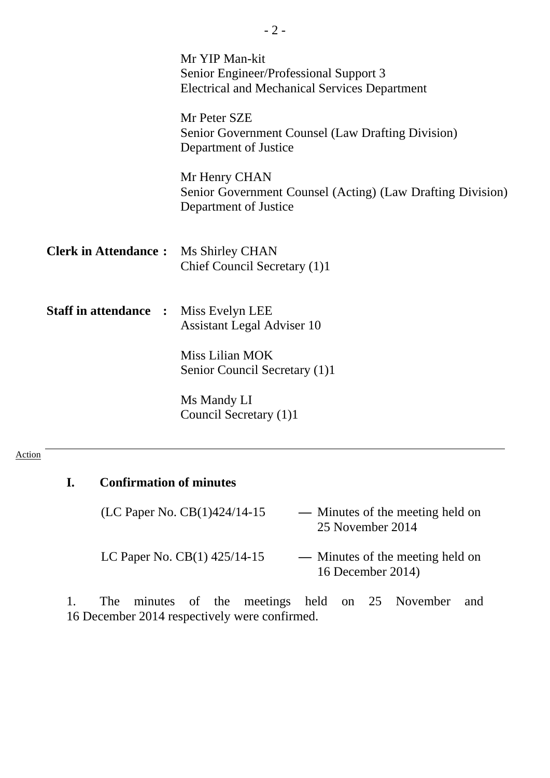|                              | Mr YIP Man-kit<br>Senior Engineer/Professional Support 3<br><b>Electrical and Mechanical Services Department</b> |
|------------------------------|------------------------------------------------------------------------------------------------------------------|
|                              | Mr Peter SZE<br>Senior Government Counsel (Law Drafting Division)<br>Department of Justice                       |
|                              | Mr Henry CHAN<br>Senior Government Counsel (Acting) (Law Drafting Division)<br>Department of Justice             |
| <b>Clerk in Attendance:</b>  | Ms Shirley CHAN<br>Chief Council Secretary (1)1                                                                  |
| <b>Staff in attendance :</b> | Miss Evelyn LEE<br><b>Assistant Legal Adviser 10</b>                                                             |
|                              | Miss Lilian MOK<br>Senior Council Secretary (1)1                                                                 |
|                              | Ms Mandy LI<br>Council Secretary (1)1                                                                            |

- 2 -

#### Action

# **I. Confirmation of minutes**

(LC Paper No. CB(1)424/14-15 **—** Minutes of the meeting held on 25 November 2014

LC Paper No. CB(1) 425/14-15 - Minutes of the meeting held on 16 December 2014)

1. The minutes of the meetings held on 25 November and 16 December 2014 respectively were confirmed.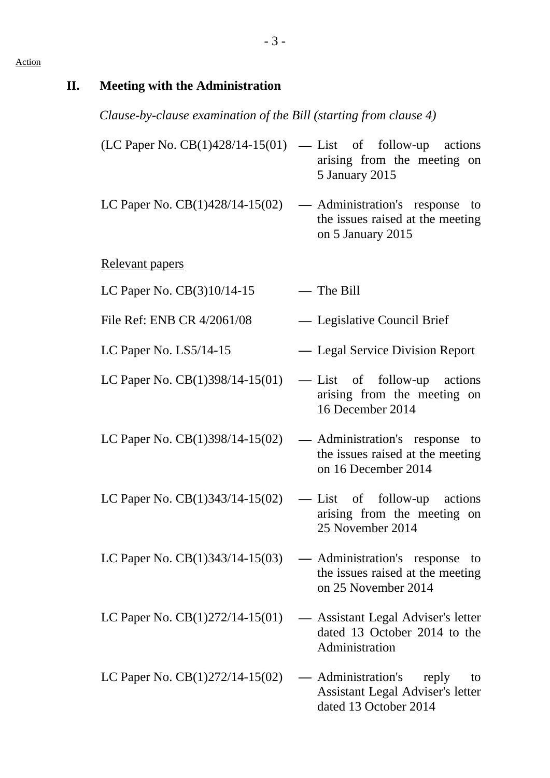# **II. Meeting with the Administration**  *Clause-by-clause examination of the Bill (starting from clause 4)* (LC Paper No. CB(1)428/14-15(01) **—** List of follow-up actions arising from the meeting on 5 January 2015 LC Paper No. CB(1)428/14-15(02) **—** Administration's response to the issues raised at the meeting on 5 January 2015 Relevant papers LC Paper No. CB(3)10/14-15 **—** The Bill File Ref: ENB CR 4/2061/08 - Legislative Council Brief LC Paper No. LS5/14-15 **—** Legal Service Division Report LC Paper No. CB(1)398/14-15(01) **—** List of follow-up actions arising from the meeting on 16 December 2014 LC Paper No. CB(1)398/14-15(02) **—** Administration's response to the issues raised at the meeting on 16 December 2014 LC Paper No. CB(1)343/14-15(02) **—** List of follow-up actions arising from the meeting on 25 November 2014 LC Paper No. CB(1)343/14-15(03) **—** Administration's response to the issues raised at the meeting on 25 November 2014 LC Paper No. CB(1)272/14-15(01) **—** Assistant Legal Adviser's letter dated 13 October 2014 to the Administration LC Paper No. CB(1)272/14-15(02) **—** Administration's reply to Assistant Legal Adviser's letter dated 13 October 2014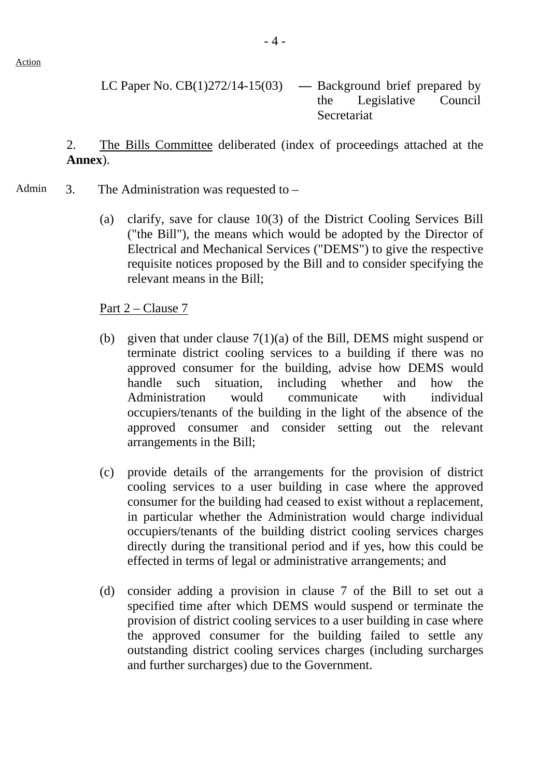Action

LC Paper No. CB(1)272/14-15(03) **—** Background brief prepared by the Legislative Council Secretariat

2. The Bills Committee deliberated (index of proceedings attached at the **Annex**).

- Admin  $\alpha$  3. The Administration was requested to
	- (a) clarify, save for clause 10(3) of the District Cooling Services Bill ("the Bill"), the means which would be adopted by the Director of Electrical and Mechanical Services ("DEMS") to give the respective requisite notices proposed by the Bill and to consider specifying the relevant means in the Bill;

Part 2 – Clause 7

- (b) given that under clause 7(1)(a) of the Bill, DEMS might suspend or terminate district cooling services to a building if there was no approved consumer for the building, advise how DEMS would handle such situation, including whether and how the Administration would communicate with individual occupiers/tenants of the building in the light of the absence of the approved consumer and consider setting out the relevant arrangements in the Bill;
- (c) provide details of the arrangements for the provision of district cooling services to a user building in case where the approved consumer for the building had ceased to exist without a replacement, in particular whether the Administration would charge individual occupiers/tenants of the building district cooling services charges directly during the transitional period and if yes, how this could be effected in terms of legal or administrative arrangements; and
- (d) consider adding a provision in clause 7 of the Bill to set out a specified time after which DEMS would suspend or terminate the provision of district cooling services to a user building in case where the approved consumer for the building failed to settle any outstanding district cooling services charges (including surcharges and further surcharges) due to the Government.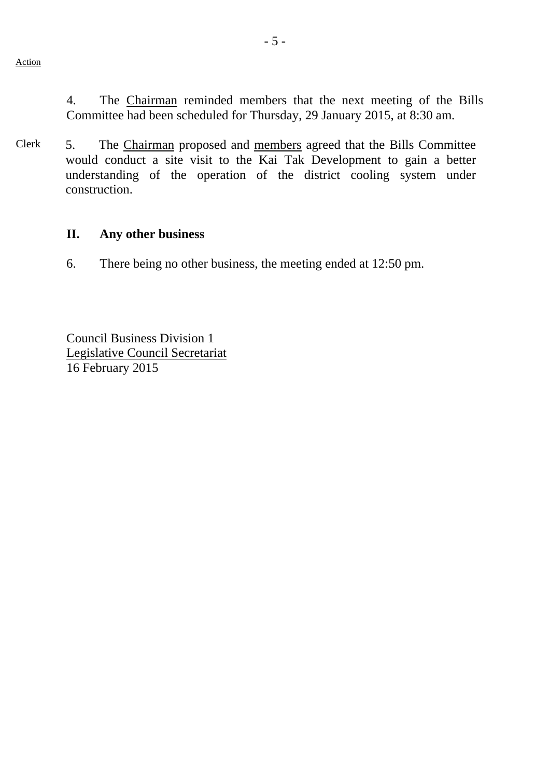4. The Chairman reminded members that the next meeting of the Bills Committee had been scheduled for Thursday, 29 January 2015, at 8:30 am.

Clerk 5. The Chairman proposed and members agreed that the Bills Committee would conduct a site visit to the Kai Tak Development to gain a better understanding of the operation of the district cooling system under construction.

### **II. Any other business**

6. There being no other business, the meeting ended at 12:50 pm.

Council Business Division 1 Legislative Council Secretariat 16 February 2015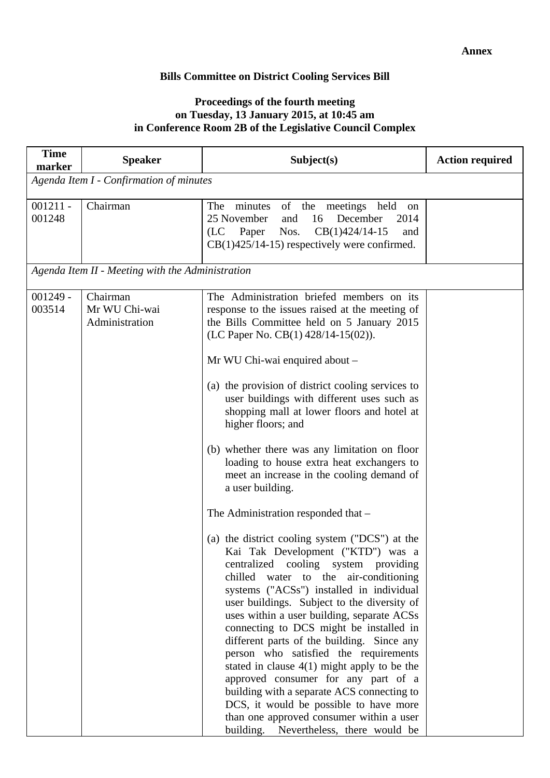### **Bills Committee on District Cooling Services Bill**

### **Proceedings of the fourth meeting on Tuesday, 13 January 2015, at 10:45 am in Conference Room 2B of the Legislative Council Complex**

| <b>Time</b><br>marker | <b>Speaker</b>                                   | Subject(s)                                                                                                                                                                                                                                                                                                                                                                                                                                                                                                                                                                                                                                                                                                                                                                                                                                                                                                                                                                                                                                                                                                                                                                                                                                                                                                                   | <b>Action required</b> |
|-----------------------|--------------------------------------------------|------------------------------------------------------------------------------------------------------------------------------------------------------------------------------------------------------------------------------------------------------------------------------------------------------------------------------------------------------------------------------------------------------------------------------------------------------------------------------------------------------------------------------------------------------------------------------------------------------------------------------------------------------------------------------------------------------------------------------------------------------------------------------------------------------------------------------------------------------------------------------------------------------------------------------------------------------------------------------------------------------------------------------------------------------------------------------------------------------------------------------------------------------------------------------------------------------------------------------------------------------------------------------------------------------------------------------|------------------------|
|                       | Agenda Item I - Confirmation of minutes          |                                                                                                                                                                                                                                                                                                                                                                                                                                                                                                                                                                                                                                                                                                                                                                                                                                                                                                                                                                                                                                                                                                                                                                                                                                                                                                                              |                        |
| $001211 -$<br>001248  | Chairman                                         | The<br>minutes<br>of the meetings held<br>on<br>16<br>December<br>25 November<br>and<br>2014<br>$CB(1)424/14-15$<br>(LC Paper<br>Nos.<br>and<br>$CB(1)425/14-15$ ) respectively were confirmed.                                                                                                                                                                                                                                                                                                                                                                                                                                                                                                                                                                                                                                                                                                                                                                                                                                                                                                                                                                                                                                                                                                                              |                        |
|                       | Agenda Item II - Meeting with the Administration |                                                                                                                                                                                                                                                                                                                                                                                                                                                                                                                                                                                                                                                                                                                                                                                                                                                                                                                                                                                                                                                                                                                                                                                                                                                                                                                              |                        |
| $001249 -$<br>003514  | Chairman<br>Mr WU Chi-wai<br>Administration      | The Administration briefed members on its<br>response to the issues raised at the meeting of<br>the Bills Committee held on 5 January 2015<br>(LC Paper No. CB(1) $428/14-15(02)$ ).<br>Mr WU Chi-wai enquired about -<br>(a) the provision of district cooling services to<br>user buildings with different uses such as<br>shopping mall at lower floors and hotel at<br>higher floors; and<br>(b) whether there was any limitation on floor<br>loading to house extra heat exchangers to<br>meet an increase in the cooling demand of<br>a user building.<br>The Administration responded that -<br>(a) the district cooling system ("DCS") at the<br>Kai Tak Development ("KTD") was a<br>centralized cooling system providing<br>chilled water to the air-conditioning<br>systems ("ACSs") installed in individual<br>user buildings. Subject to the diversity of<br>uses within a user building, separate ACSs<br>connecting to DCS might be installed in<br>different parts of the building. Since any<br>person who satisfied the requirements<br>stated in clause $4(1)$ might apply to be the<br>approved consumer for any part of a<br>building with a separate ACS connecting to<br>DCS, it would be possible to have more<br>than one approved consumer within a user<br>building. Nevertheless, there would be |                        |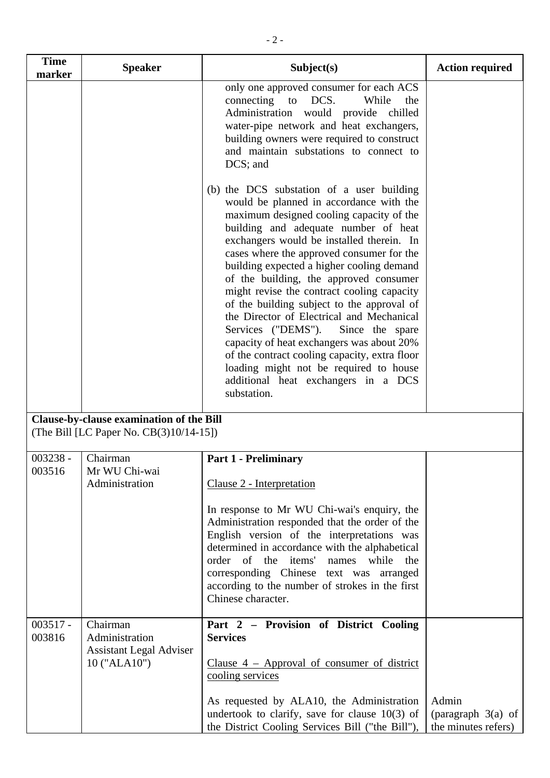| <b>Time</b><br>marker | <b>Speaker</b>                                                                      | Subject(s)                                                                                                                                                                                                                                                                                                                                                                                                                                                                                                                                                                                                                                                                                                                                | <b>Action required</b> |
|-----------------------|-------------------------------------------------------------------------------------|-------------------------------------------------------------------------------------------------------------------------------------------------------------------------------------------------------------------------------------------------------------------------------------------------------------------------------------------------------------------------------------------------------------------------------------------------------------------------------------------------------------------------------------------------------------------------------------------------------------------------------------------------------------------------------------------------------------------------------------------|------------------------|
|                       |                                                                                     | only one approved consumer for each ACS<br>connecting to DCS.<br>While<br>the<br>Administration would provide chilled<br>water-pipe network and heat exchangers,<br>building owners were required to construct<br>and maintain substations to connect to<br>DCS; and                                                                                                                                                                                                                                                                                                                                                                                                                                                                      |                        |
|                       |                                                                                     | (b) the DCS substation of a user building<br>would be planned in accordance with the<br>maximum designed cooling capacity of the<br>building and adequate number of heat<br>exchangers would be installed therein. In<br>cases where the approved consumer for the<br>building expected a higher cooling demand<br>of the building, the approved consumer<br>might revise the contract cooling capacity<br>of the building subject to the approval of<br>the Director of Electrical and Mechanical<br>Services ("DEMS").<br>Since the spare<br>capacity of heat exchangers was about 20%<br>of the contract cooling capacity, extra floor<br>loading might not be required to house<br>additional heat exchangers in a DCS<br>substation. |                        |
|                       | Clause-by-clause examination of the Bill<br>(The Bill [LC Paper No. CB(3)10/14-15]) |                                                                                                                                                                                                                                                                                                                                                                                                                                                                                                                                                                                                                                                                                                                                           |                        |
| $003238 -$<br>003516  | Chairman<br>Mr WU Chi-wai<br>Administration                                         | <b>Part 1 - Preliminary</b><br>Clause 2 - Interpretation<br>In response to Mr WU Chi-wai's enquiry, the<br>Administration responded that the order of the<br>English version of the interpretations was<br>determined in accordance with the alphabetical<br>order of the items' names while<br>the<br>corresponding Chinese text was arranged<br>according to the number of strokes in the first<br>Chinese character.                                                                                                                                                                                                                                                                                                                   |                        |
| $003517 -$<br>003816  | Chairman<br>Administration<br><b>Assistant Legal Adviser</b><br>10 ("ALA10")        | Part 2 - Provision of District Cooling<br><b>Services</b><br>Clause $4$ – Approval of consumer of district<br>cooling services<br>As requested by ALA10, the Administration                                                                                                                                                                                                                                                                                                                                                                                                                                                                                                                                                               | Admin                  |

undertook to clarify, save for clause 10(3) of the District Cooling Services Bill ("the Bill"), (paragraph 3(a) of the minutes refers)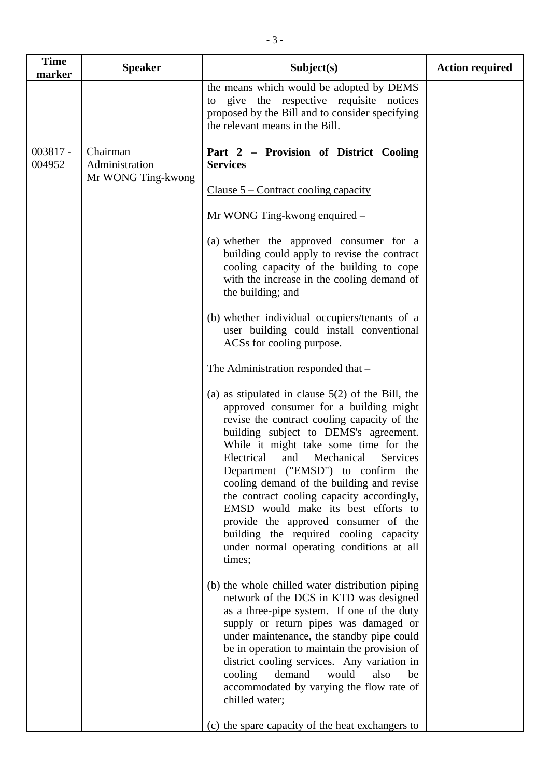| <b>Time</b><br>marker | <b>Speaker</b>                                   | Subject(s)                                                                                                                                                                                                                                                                                                                                                                                                                                                                                                                                                                                                                                                                                                                                                                                                                                                                                                                                                                                                                                                                                                                                                                                                                                                                                                                                                                                                                                                                                                                                                                                                    | <b>Action required</b> |
|-----------------------|--------------------------------------------------|---------------------------------------------------------------------------------------------------------------------------------------------------------------------------------------------------------------------------------------------------------------------------------------------------------------------------------------------------------------------------------------------------------------------------------------------------------------------------------------------------------------------------------------------------------------------------------------------------------------------------------------------------------------------------------------------------------------------------------------------------------------------------------------------------------------------------------------------------------------------------------------------------------------------------------------------------------------------------------------------------------------------------------------------------------------------------------------------------------------------------------------------------------------------------------------------------------------------------------------------------------------------------------------------------------------------------------------------------------------------------------------------------------------------------------------------------------------------------------------------------------------------------------------------------------------------------------------------------------------|------------------------|
|                       |                                                  | the means which would be adopted by DEMS<br>to give the respective requisite notices<br>proposed by the Bill and to consider specifying<br>the relevant means in the Bill.                                                                                                                                                                                                                                                                                                                                                                                                                                                                                                                                                                                                                                                                                                                                                                                                                                                                                                                                                                                                                                                                                                                                                                                                                                                                                                                                                                                                                                    |                        |
| $003817 -$<br>004952  | Chairman<br>Administration<br>Mr WONG Ting-kwong | Part 2 – Provision of District Cooling<br><b>Services</b><br>Clause $5$ – Contract cooling capacity<br>Mr WONG Ting-kwong enquired –<br>(a) whether the approved consumer for a<br>building could apply to revise the contract<br>cooling capacity of the building to cope<br>with the increase in the cooling demand of<br>the building; and<br>(b) whether individual occupiers/tenants of a<br>user building could install conventional<br>ACSs for cooling purpose.<br>The Administration responded that -<br>(a) as stipulated in clause $5(2)$ of the Bill, the<br>approved consumer for a building might<br>revise the contract cooling capacity of the<br>building subject to DEMS's agreement.<br>While it might take some time for the<br>Electrical<br>Mechanical<br>and<br>Services<br>Department ("EMSD") to confirm the<br>cooling demand of the building and revise<br>the contract cooling capacity accordingly,<br>EMSD would make its best efforts to<br>provide the approved consumer of the<br>building the required cooling capacity<br>under normal operating conditions at all<br>times;<br>(b) the whole chilled water distribution piping<br>network of the DCS in KTD was designed<br>as a three-pipe system. If one of the duty<br>supply or return pipes was damaged or<br>under maintenance, the standby pipe could<br>be in operation to maintain the provision of<br>district cooling services. Any variation in<br>demand<br>cooling<br>would<br>also<br>be<br>accommodated by varying the flow rate of<br>chilled water;<br>(c) the spare capacity of the heat exchangers to |                        |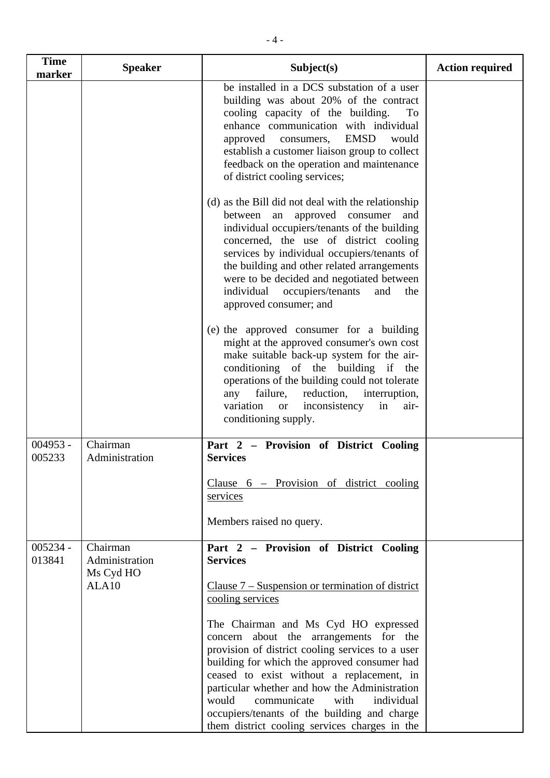| <b>Time</b><br>marker | <b>Speaker</b>                                   | Subject(s)                                                                                                                                                                                                                                                                                                                                                                                                   | <b>Action required</b> |
|-----------------------|--------------------------------------------------|--------------------------------------------------------------------------------------------------------------------------------------------------------------------------------------------------------------------------------------------------------------------------------------------------------------------------------------------------------------------------------------------------------------|------------------------|
|                       |                                                  | be installed in a DCS substation of a user<br>building was about 20% of the contract<br>cooling capacity of the building.<br>To<br>enhance communication with individual<br><b>EMSD</b><br>approved consumers,<br>would<br>establish a customer liaison group to collect<br>feedback on the operation and maintenance<br>of district cooling services;                                                       |                        |
|                       |                                                  | (d) as the Bill did not deal with the relationship<br>an approved consumer<br>between<br>and<br>individual occupiers/tenants of the building<br>concerned, the use of district cooling<br>services by individual occupiers/tenants of<br>the building and other related arrangements<br>were to be decided and negotiated between<br>individual<br>occupiers/tenants<br>and<br>the<br>approved consumer; and |                        |
|                       |                                                  | (e) the approved consumer for a building<br>might at the approved consumer's own cost<br>make suitable back-up system for the air-<br>conditioning of the building if<br>the<br>operations of the building could not tolerate<br>reduction,<br>failure,<br>any<br>interruption,<br>variation<br>inconsistency<br>in<br>air-<br><b>or</b><br>conditioning supply.                                             |                        |
| $004953 -$<br>005233  | Chairman<br>Administration                       | Part $2 -$<br>Provision of District Cooling<br><b>Services</b>                                                                                                                                                                                                                                                                                                                                               |                        |
|                       |                                                  | Clause $6$ – Provision of district cooling<br>services                                                                                                                                                                                                                                                                                                                                                       |                        |
|                       |                                                  | Members raised no query.                                                                                                                                                                                                                                                                                                                                                                                     |                        |
| $005234 -$<br>013841  | Chairman<br>Administration<br>Ms Cyd HO<br>ALA10 | Part 2 - Provision of District Cooling<br><b>Services</b><br>Clause $7 -$ Suspension or termination of district<br>cooling services<br>The Chairman and Ms Cyd HO expressed<br>concern about the arrangements for the<br>provision of district cooling services to a user<br>building for which the approved consumer had<br>ceased to exist without a replacement, in                                       |                        |
|                       |                                                  | particular whether and how the Administration<br>would<br>communicate<br>with<br>individual<br>occupiers/tenants of the building and charge<br>them district cooling services charges in the                                                                                                                                                                                                                 |                        |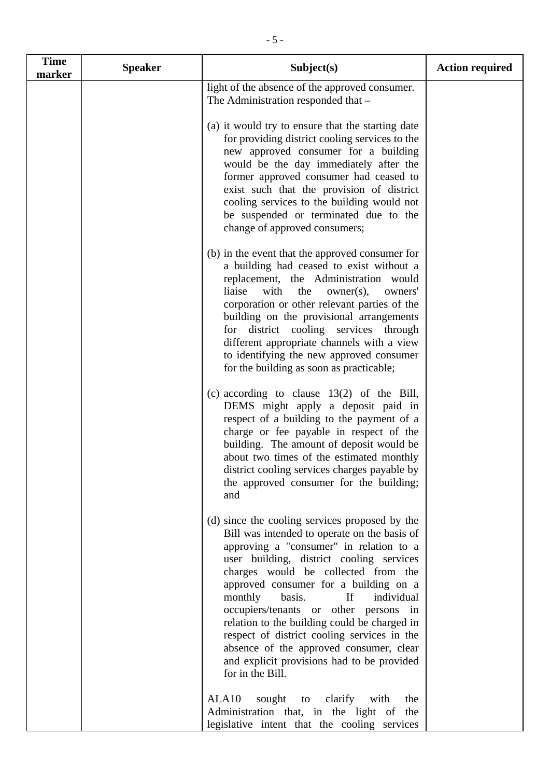| <b>Time</b><br>marker | <b>Speaker</b> | Subject(s)                                                                                                                                                                                                                                                                                                                                                                                                                                                                                                                                                          | <b>Action required</b> |
|-----------------------|----------------|---------------------------------------------------------------------------------------------------------------------------------------------------------------------------------------------------------------------------------------------------------------------------------------------------------------------------------------------------------------------------------------------------------------------------------------------------------------------------------------------------------------------------------------------------------------------|------------------------|
|                       |                | light of the absence of the approved consumer.<br>The Administration responded that -                                                                                                                                                                                                                                                                                                                                                                                                                                                                               |                        |
|                       |                | (a) it would try to ensure that the starting date<br>for providing district cooling services to the<br>new approved consumer for a building<br>would be the day immediately after the<br>former approved consumer had ceased to<br>exist such that the provision of district<br>cooling services to the building would not<br>be suspended or terminated due to the<br>change of approved consumers;                                                                                                                                                                |                        |
|                       |                | (b) in the event that the approved consumer for<br>a building had ceased to exist without a<br>replacement, the Administration would<br>liaise<br>with<br>owner(s),<br>the<br>owners'<br>corporation or other relevant parties of the<br>building on the provisional arrangements<br>district cooling services through<br>for<br>different appropriate channels with a view<br>to identifying the new approved consumer<br>for the building as soon as practicable;                                                                                                 |                        |
|                       |                | (c) according to clause $13(2)$ of the Bill,<br>DEMS might apply a deposit paid in<br>respect of a building to the payment of a<br>charge or fee payable in respect of the<br>building. The amount of deposit would be<br>about two times of the estimated monthly<br>district cooling services charges payable by<br>the approved consumer for the building;<br>and                                                                                                                                                                                                |                        |
|                       |                | (d) since the cooling services proposed by the<br>Bill was intended to operate on the basis of<br>approving a "consumer" in relation to a<br>user building, district cooling services<br>charges would be collected from the<br>approved consumer for a building on a<br>If<br>monthly<br>basis.<br>individual<br>occupiers/tenants or other persons in<br>relation to the building could be charged in<br>respect of district cooling services in the<br>absence of the approved consumer, clear<br>and explicit provisions had to be provided<br>for in the Bill. |                        |
|                       |                | ALA <sub>10</sub><br>clarify<br>sought to<br>with<br>the<br>Administration that, in the light of the<br>legislative intent that the cooling services                                                                                                                                                                                                                                                                                                                                                                                                                |                        |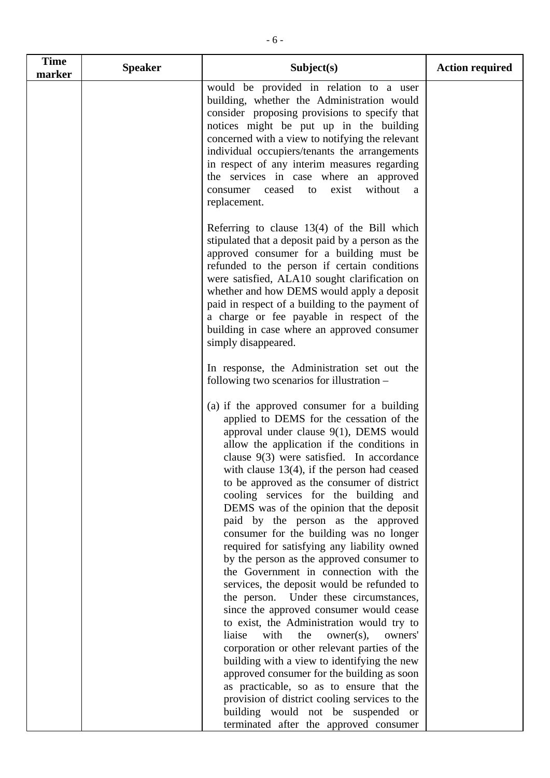| <b>Time</b><br>marker | <b>Speaker</b> | Subject(s)                                                                                                                                                                                                                                                                                                                                                                                                                                                                                                                                                                                                                                                                                                                                                                                                                                                                                                                       | <b>Action required</b> |
|-----------------------|----------------|----------------------------------------------------------------------------------------------------------------------------------------------------------------------------------------------------------------------------------------------------------------------------------------------------------------------------------------------------------------------------------------------------------------------------------------------------------------------------------------------------------------------------------------------------------------------------------------------------------------------------------------------------------------------------------------------------------------------------------------------------------------------------------------------------------------------------------------------------------------------------------------------------------------------------------|------------------------|
|                       |                | would be provided in relation to a user<br>building, whether the Administration would<br>consider proposing provisions to specify that<br>notices might be put up in the building<br>concerned with a view to notifying the relevant<br>individual occupiers/tenants the arrangements<br>in respect of any interim measures regarding<br>the services in case where an approved<br>without<br>ceased<br>exist<br>consumer<br>to<br>a<br>replacement.                                                                                                                                                                                                                                                                                                                                                                                                                                                                             |                        |
|                       |                | Referring to clause $13(4)$ of the Bill which<br>stipulated that a deposit paid by a person as the<br>approved consumer for a building must be<br>refunded to the person if certain conditions<br>were satisfied, ALA10 sought clarification on<br>whether and how DEMS would apply a deposit<br>paid in respect of a building to the payment of<br>a charge or fee payable in respect of the<br>building in case where an approved consumer<br>simply disappeared.                                                                                                                                                                                                                                                                                                                                                                                                                                                              |                        |
|                       |                | In response, the Administration set out the<br>following two scenarios for illustration -                                                                                                                                                                                                                                                                                                                                                                                                                                                                                                                                                                                                                                                                                                                                                                                                                                        |                        |
|                       |                | (a) if the approved consumer for a building<br>applied to DEMS for the cessation of the<br>approval under clause $9(1)$ , DEMS would<br>allow the application if the conditions in<br>clause $9(3)$ were satisfied. In accordance<br>with clause $13(4)$ , if the person had ceased<br>to be approved as the consumer of district<br>cooling services for the building and<br>DEMS was of the opinion that the deposit<br>paid by the person as the approved<br>consumer for the building was no longer<br>required for satisfying any liability owned<br>by the person as the approved consumer to<br>the Government in connection with the<br>services, the deposit would be refunded to<br>the person. Under these circumstances,<br>since the approved consumer would cease<br>to exist, the Administration would try to<br>liaise<br>with<br>the<br>$owner(s)$ ,<br>owners'<br>corporation or other relevant parties of the |                        |
|                       |                | building with a view to identifying the new<br>approved consumer for the building as soon                                                                                                                                                                                                                                                                                                                                                                                                                                                                                                                                                                                                                                                                                                                                                                                                                                        |                        |

as practicable, so as to ensure that the provision of district cooling services to the building would not be suspended or terminated after the approved consumer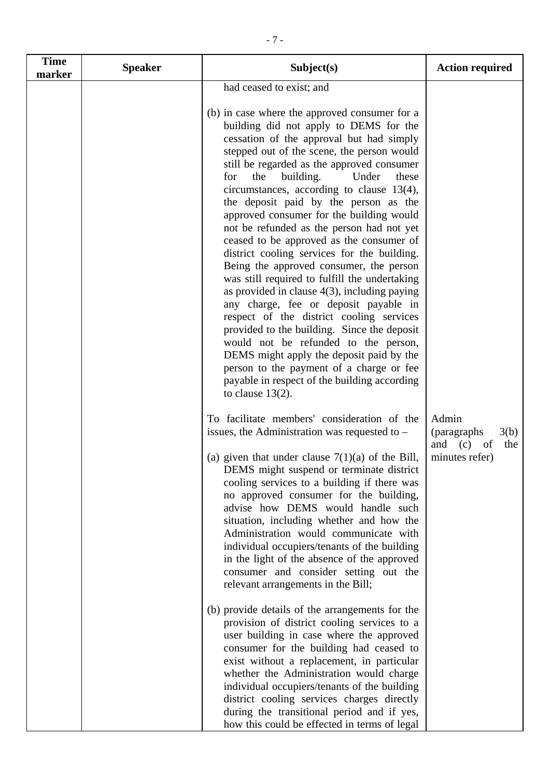| <b>Time</b> | <b>Speaker</b> | Subject(s)                                                                                                                                                                                                                                                                                                                                                                                                                                                                                                                                                                                                                                                                                                                                                                                                                                                                                                                                                                                                                                                                                                                                                                                                                                                                                                                                                                                                                                                                                                                                                                                                                                                                        | <b>Action required</b>                                               |
|-------------|----------------|-----------------------------------------------------------------------------------------------------------------------------------------------------------------------------------------------------------------------------------------------------------------------------------------------------------------------------------------------------------------------------------------------------------------------------------------------------------------------------------------------------------------------------------------------------------------------------------------------------------------------------------------------------------------------------------------------------------------------------------------------------------------------------------------------------------------------------------------------------------------------------------------------------------------------------------------------------------------------------------------------------------------------------------------------------------------------------------------------------------------------------------------------------------------------------------------------------------------------------------------------------------------------------------------------------------------------------------------------------------------------------------------------------------------------------------------------------------------------------------------------------------------------------------------------------------------------------------------------------------------------------------------------------------------------------------|----------------------------------------------------------------------|
| marker      |                | had ceased to exist; and<br>(b) in case where the approved consumer for a<br>building did not apply to DEMS for the<br>cessation of the approval but had simply<br>stepped out of the scene, the person would<br>still be regarded as the approved consumer<br>the<br>building.<br>Under<br>for<br>these<br>circumstances, according to clause 13(4),<br>the deposit paid by the person as the<br>approved consumer for the building would<br>not be refunded as the person had not yet<br>ceased to be approved as the consumer of<br>district cooling services for the building.<br>Being the approved consumer, the person<br>was still required to fulfill the undertaking<br>as provided in clause $4(3)$ , including paying<br>any charge, fee or deposit payable in<br>respect of the district cooling services<br>provided to the building. Since the deposit<br>would not be refunded to the person,<br>DEMS might apply the deposit paid by the<br>person to the payment of a charge or fee<br>payable in respect of the building according<br>to clause $13(2)$ .<br>To facilitate members' consideration of the<br>issues, the Administration was requested to $-$<br>(a) given that under clause $7(1)(a)$ of the Bill,<br>DEMS might suspend or terminate district<br>cooling services to a building if there was<br>no approved consumer for the building,<br>advise how DEMS would handle such<br>situation, including whether and how the<br>Administration would communicate with<br>individual occupiers/tenants of the building<br>in the light of the absence of the approved<br>consumer and consider setting out the<br>relevant arrangements in the Bill; | Admin<br>3(b)<br>(paragraphs)<br>and (c) of<br>the<br>minutes refer) |
|             |                | (b) provide details of the arrangements for the<br>provision of district cooling services to a<br>user building in case where the approved<br>consumer for the building had ceased to<br>exist without a replacement, in particular<br>whether the Administration would charge<br>individual occupiers/tenants of the building<br>district cooling services charges directly<br>during the transitional period and if yes,<br>how this could be effected in terms of legal                                                                                                                                                                                                                                                                                                                                                                                                                                                                                                                                                                                                                                                                                                                                                                                                                                                                                                                                                                                                                                                                                                                                                                                                        |                                                                      |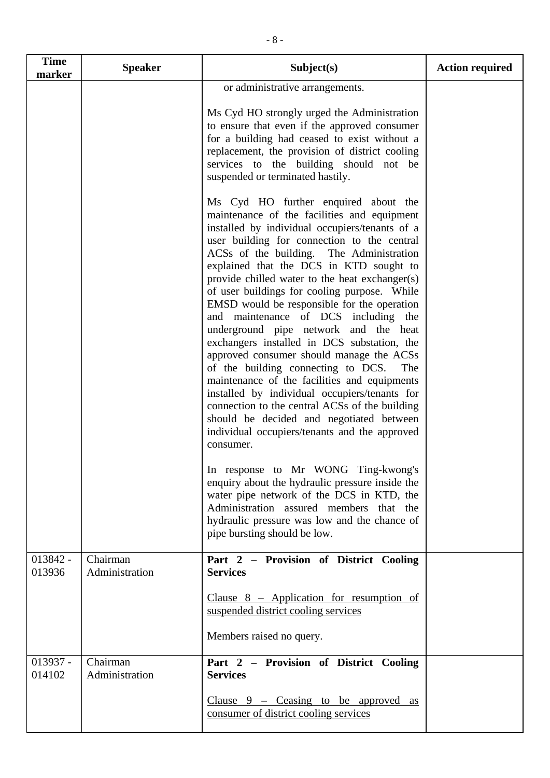| <b>Time</b><br>marker | <b>Speaker</b>             | Subject(s)                                                                                                                                                                                                                                                                                                                                                                                                                                                                                                                                                                                                                                                                                                                                                                                                                                                                                                                                                                                                                                                | <b>Action required</b> |
|-----------------------|----------------------------|-----------------------------------------------------------------------------------------------------------------------------------------------------------------------------------------------------------------------------------------------------------------------------------------------------------------------------------------------------------------------------------------------------------------------------------------------------------------------------------------------------------------------------------------------------------------------------------------------------------------------------------------------------------------------------------------------------------------------------------------------------------------------------------------------------------------------------------------------------------------------------------------------------------------------------------------------------------------------------------------------------------------------------------------------------------|------------------------|
|                       |                            | or administrative arrangements.<br>Ms Cyd HO strongly urged the Administration<br>to ensure that even if the approved consumer<br>for a building had ceased to exist without a                                                                                                                                                                                                                                                                                                                                                                                                                                                                                                                                                                                                                                                                                                                                                                                                                                                                            |                        |
|                       |                            | replacement, the provision of district cooling<br>services to the building should not be<br>suspended or terminated hastily.                                                                                                                                                                                                                                                                                                                                                                                                                                                                                                                                                                                                                                                                                                                                                                                                                                                                                                                              |                        |
|                       |                            | Ms Cyd HO further enquired about the<br>maintenance of the facilities and equipment<br>installed by individual occupiers/tenants of a<br>user building for connection to the central<br>ACSs of the building. The Administration<br>explained that the DCS in KTD sought to<br>provide chilled water to the heat exchanger(s)<br>of user buildings for cooling purpose. While<br>EMSD would be responsible for the operation<br>and maintenance of DCS including the<br>underground pipe network and the heat<br>exchangers installed in DCS substation, the<br>approved consumer should manage the ACSs<br>of the building connecting to DCS.<br>The<br>maintenance of the facilities and equipments<br>installed by individual occupiers/tenants for<br>connection to the central ACSs of the building<br>should be decided and negotiated between<br>individual occupiers/tenants and the approved<br>consumer.<br>In response to Mr WONG Ting-kwong's<br>enquiry about the hydraulic pressure inside the<br>water pipe network of the DCS in KTD, the |                        |
|                       |                            | Administration assured members that the<br>hydraulic pressure was low and the chance of<br>pipe bursting should be low.                                                                                                                                                                                                                                                                                                                                                                                                                                                                                                                                                                                                                                                                                                                                                                                                                                                                                                                                   |                        |
| 013842 -<br>013936    | Chairman<br>Administration | Part 2 - Provision of District Cooling<br><b>Services</b>                                                                                                                                                                                                                                                                                                                                                                                                                                                                                                                                                                                                                                                                                                                                                                                                                                                                                                                                                                                                 |                        |
|                       |                            | Clause $8$ – Application for resumption of<br>suspended district cooling services                                                                                                                                                                                                                                                                                                                                                                                                                                                                                                                                                                                                                                                                                                                                                                                                                                                                                                                                                                         |                        |
|                       |                            | Members raised no query.                                                                                                                                                                                                                                                                                                                                                                                                                                                                                                                                                                                                                                                                                                                                                                                                                                                                                                                                                                                                                                  |                        |
| $013937 -$<br>014102  | Chairman<br>Administration | Part 2 – Provision of District Cooling<br><b>Services</b>                                                                                                                                                                                                                                                                                                                                                                                                                                                                                                                                                                                                                                                                                                                                                                                                                                                                                                                                                                                                 |                        |
|                       |                            | Clause $9$ – Ceasing to be approved as<br>consumer of district cooling services                                                                                                                                                                                                                                                                                                                                                                                                                                                                                                                                                                                                                                                                                                                                                                                                                                                                                                                                                                           |                        |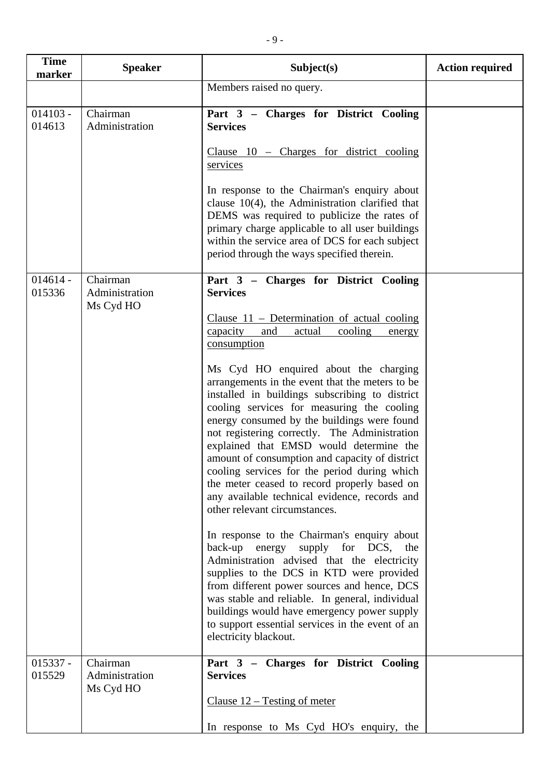| <b>Time</b><br>marker | <b>Speaker</b>                          | Subject(s)                                                                                                                                                                                                                                                                                                                                                                                                                                                                                                                                                                                                                                                                                                                                                                                                                                                                                                                                                                                                                                                                                                                                                          | <b>Action required</b> |
|-----------------------|-----------------------------------------|---------------------------------------------------------------------------------------------------------------------------------------------------------------------------------------------------------------------------------------------------------------------------------------------------------------------------------------------------------------------------------------------------------------------------------------------------------------------------------------------------------------------------------------------------------------------------------------------------------------------------------------------------------------------------------------------------------------------------------------------------------------------------------------------------------------------------------------------------------------------------------------------------------------------------------------------------------------------------------------------------------------------------------------------------------------------------------------------------------------------------------------------------------------------|------------------------|
|                       |                                         | Members raised no query.                                                                                                                                                                                                                                                                                                                                                                                                                                                                                                                                                                                                                                                                                                                                                                                                                                                                                                                                                                                                                                                                                                                                            |                        |
| $014103 -$<br>014613  | Chairman<br>Administration              | Part 3 - Charges for District Cooling<br><b>Services</b><br>Clause $10$ – Charges for district cooling<br>services<br>In response to the Chairman's enquiry about<br>clause $10(4)$ , the Administration clarified that<br>DEMS was required to publicize the rates of<br>primary charge applicable to all user buildings<br>within the service area of DCS for each subject<br>period through the ways specified therein.                                                                                                                                                                                                                                                                                                                                                                                                                                                                                                                                                                                                                                                                                                                                          |                        |
| $014614 -$<br>015336  | Chairman<br>Administration<br>Ms Cyd HO | Part 3 - Charges for District Cooling<br><b>Services</b><br>Clause $11$ – Determination of actual cooling<br>capacity<br>and<br>cooling<br>actual<br>energy<br>consumption<br>Ms Cyd HO enquired about the charging<br>arrangements in the event that the meters to be<br>installed in buildings subscribing to district<br>cooling services for measuring the cooling<br>energy consumed by the buildings were found<br>not registering correctly. The Administration<br>explained that EMSD would determine the<br>amount of consumption and capacity of district<br>cooling services for the period during which<br>the meter ceased to record properly based on<br>any available technical evidence, records and<br>other relevant circumstances.<br>In response to the Chairman's enquiry about<br>back-up energy supply for DCS, the<br>Administration advised that the electricity<br>supplies to the DCS in KTD were provided<br>from different power sources and hence, DCS<br>was stable and reliable. In general, individual<br>buildings would have emergency power supply<br>to support essential services in the event of an<br>electricity blackout. |                        |
| $015337 -$<br>015529  | Chairman<br>Administration<br>Ms Cyd HO | Part 3 - Charges for District Cooling<br><b>Services</b><br>Clause $12$ – Testing of meter<br>In response to Ms Cyd HO's enquiry, the                                                                                                                                                                                                                                                                                                                                                                                                                                                                                                                                                                                                                                                                                                                                                                                                                                                                                                                                                                                                                               |                        |